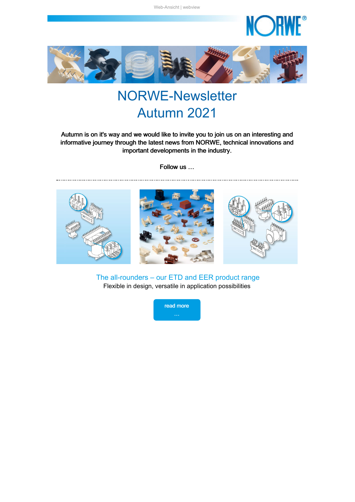

<span id="page-0-0"></span>

# NORWE-Newsletter Autumn 2021

Autumn is on it's way and we would like to invite you to join us on an interesting and informative journey through the latest news from NORWE, technical innovations and important developments in the industry.

Follow us …



The all-rounders – our ETD and EER product range Flexible in design, versatile in application possibilities

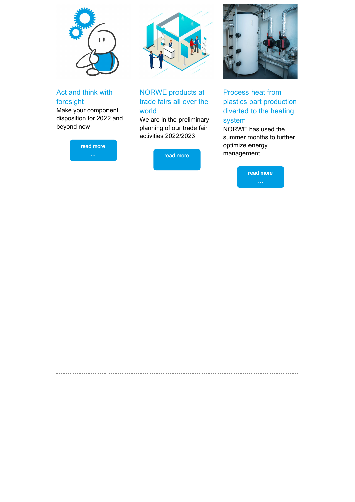

Act and think with foresight

Make your component disposition for 2022 and beyond now





### NORWE products at trade fairs all over the world

We are in the preliminary planning of our trade fair activities 2022/2023

read [more](#page-3-1)

<span id="page-1-0"></span>



Process heat from plastics part production diverted to the heating system

NORWE has used the summer months to further optimize energy management

read [more](#page-4-0)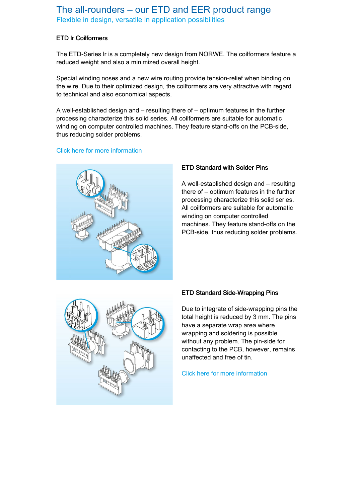### The all-rounders – our ETD and EER product range Flexible in design, versatile in application possibilities

#### ETD lr Coilformers

The ETD-Series lr is a completely new design from NORWE. The coilformers feature a reduced weight and also a minimized overall height.

Special winding noses and a new wire routing provide tension-relief when binding on the wire. Due to their optimized design, the coilformers are very attractive with regard to technical and also economical aspects.

A well-established design and – resulting there of – optimum features in the further processing characterize this solid series. All coilformers are suitable for automatic winding on computer controlled machines. They feature stand-offs on the PCB-side, thus reducing solder problems.

#### Click here for more [information](https://taadea104.emailsys1a.net/c/177/4413551/0/0/0/221187/a638b78da4.html)



#### ETD Standard with Solder-Pins

A well-established design and – resulting there of – optimum features in the further processing characterize this solid series. All coilformers are suitable for automatic winding on computer controlled machines. They feature stand-offs on the PCB-side, thus reducing solder problems.



#### ETD Standard Side-Wrapping Pins

Due to integrate of side-wrapping pins the total height is reduced by 3 mm. The pins have a separate wrap area where wrapping and soldering is possible without any problem. The pin-side for contacting to the PCB, however, remains unaffected and free of tin.

Click here for more [information](https://taadea104.emailsys1a.net/c/177/4413551/0/0/0/221191/a616dbe94f.html)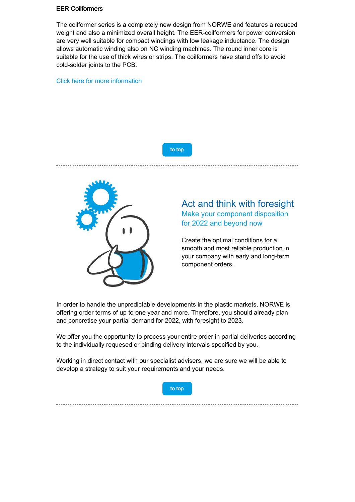#### EER Coilformers

The coilformer series is a completely new design from NORWE and features a reduced weight and also a minimized overall height. The EER-coilformers for power conversion are very well suitable for compact windings with low leakage inductance. The design allows automatic winding also on NC winding machines. The round inner core is suitable for the use of thick wires or strips. The coilformers have stand offs to avoid cold-solder joints to the PCB.

#### Click here for more [information](https://taadea104.emailsys1a.net/c/177/4413551/0/0/0/221191/a616dbe94f.html)



<span id="page-3-0"></span>

### Act and think with foresight Make your component disposition for 2022 and beyond now

Create the optimal conditions for a smooth and most reliable production in your company with early and long-term component orders.

In order to handle the unpredictable developments in the plastic markets, NORWE is offering order terms of up to one year and more. Therefore, you should already plan and concretise your partial demand for 2022, with foresight to 2023.

We offer you the opportunity to process your entire order in partial deliveries according to the individually requesed or binding delivery intervals specified by you.

Working in direct contact with our specialist advisers, we are sure we will be able to develop a strategy to suit your requirements and your needs.



<span id="page-3-1"></span>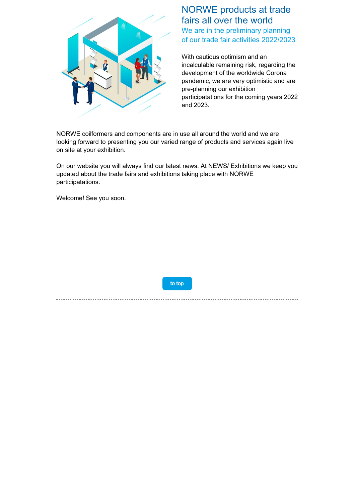

### NORWE products at trade fairs all over the world We are in the preliminary planning of our trade fair activities 2022/2023

With cautious optimism and an incalculable remaining risk, regarding the development of the worldwide Corona pandemic, we are very optimistic and are pre-planning our exhibition participatations for the coming years 2022 and 2023.

NORWE coilformers and components are in use all around the world and we are looking forward to presenting you our varied range of products and services again live on site at your exhibition.

On our website you will always find our latest news. At NEWS/ Exhibitions we keep you updated about the trade fairs and exhibitions taking place with NORWE participatations.

Welcome! See you soon.

to [top](#page-0-0)

<span id="page-4-0"></span>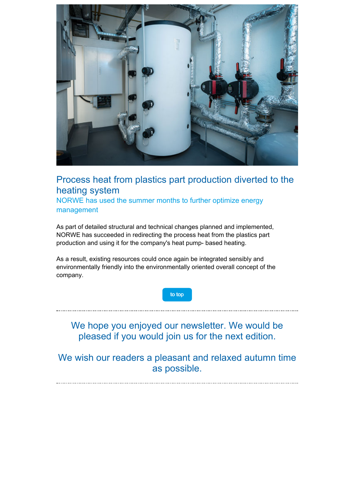

## Process heat from plastics part production diverted to the heating system

NORWE has used the summer months to further optimize energy management

As part of detailed structural and technical changes planned and implemented, NORWE has succeeded in redirecting the process heat from the plastics part production and using it for the company's heat pump- based heating.

As a result, existing resources could once again be integrated sensibly and environmentally friendly into the environmentally oriented overall concept of the company.

to [top](#page-0-0)

We hope you enjoyed our newsletter. We would be pleased if you would join us for the next edition.

We wish our readers a pleasant and relaxed autumn time as possible.